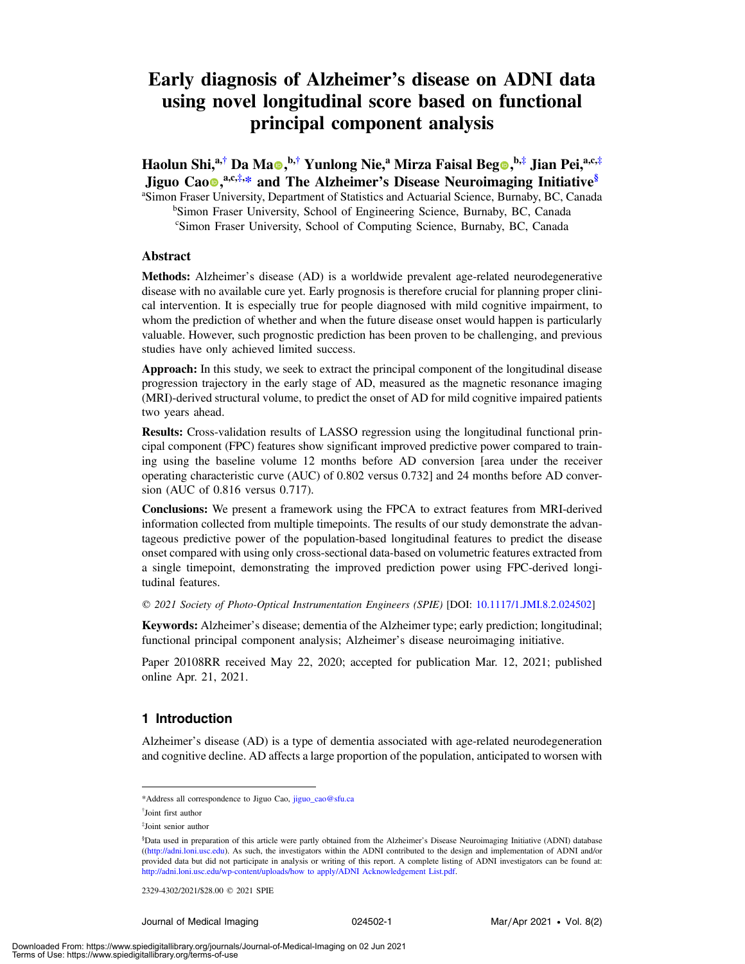# Early diagnosis of Alzheimer's disease on ADNI data using novel longitudinal score based on functional principal component analysis

Haolun Shi,<sup>a,†</sup> Da Ma $\bullet$ ,<sup>b,†</sup> Yunlong Nie,<sup>a</sup> Mirza Faisal Beg $\bullet$ ,<sup>b,‡</sup> Jian Pei,<sup>a,c,‡</sup> Jiguo Cao<sup>®</sup>,<sup>a,c,‡,[\\*](#page-0-0)</sup> and The Alzheimer's Disease Neuroimaging Initiative<sup>§</sup>

<sup>a</sup>Simon Fraser University, Department of Statistics and Actuarial Science, Burnaby, BC, Canada <sup>b</sup>Simon Fraser University, School of Engineering Science, Burnaby, BC, Canada c Simon Fraser University, School of Computing Science, Burnaby, BC, Canada

## Abstract

Methods: Alzheimer's disease (AD) is a worldwide prevalent age-related neurodegenerative disease with no available cure yet. Early prognosis is therefore crucial for planning proper clinical intervention. It is especially true for people diagnosed with mild cognitive impairment, to whom the prediction of whether and when the future disease onset would happen is particularly valuable. However, such prognostic prediction has been proven to be challenging, and previous studies have only achieved limited success.

Approach: In this study, we seek to extract the principal component of the longitudinal disease progression trajectory in the early stage of AD, measured as the magnetic resonance imaging (MRI)-derived structural volume, to predict the onset of AD for mild cognitive impaired patients two years ahead.

Results: Cross-validation results of LASSO regression using the longitudinal functional principal component (FPC) features show significant improved predictive power compared to training using the baseline volume 12 months before AD conversion [area under the receiver operating characteristic curve (AUC) of 0.802 versus 0.732] and 24 months before AD conversion (AUC of 0.816 versus 0.717).

Conclusions: We present a framework using the FPCA to extract features from MRI-derived information collected from multiple timepoints. The results of our study demonstrate the advantageous predictive power of the population-based longitudinal features to predict the disease onset compared with using only cross-sectional data-based on volumetric features extracted from a single timepoint, demonstrating the improved prediction power using FPC-derived longitudinal features.

© 2021 Society of Photo-Optical Instrumentation Engineers (SPIE) [DOI: [10.1117/1.JMI.8.2.024502](https://doi.org/10.1117/1.JMI.8.2.024502)]

Keywords: Alzheimer's disease; dementia of the Alzheimer type; early prediction; longitudinal; functional principal component analysis; Alzheimer's disease neuroimaging initiative.

Paper 20108RR received May 22, 2020; accepted for publication Mar. 12, 2021; published online Apr. 21, 2021.

## 1 Introduction

Alzheimer's disease (AD) is a type of dementia associated with age-related neurodegeneration and cognitive decline. AD affects a large proportion of the population, anticipated to worsen with

<span id="page-0-0"></span><sup>\*</sup>Address all correspondence to Jiguo Cao, [jiguo\\_cao@sfu.ca](mailto:jiguo_cao@sfu.ca)

<sup>†</sup> Joint first author

<sup>‡</sup> Joint senior author

<sup>§</sup> Data used in preparation of this article were partly obtained from the Alzheimer's Disease Neuroimaging Initiative (ADNI) database ([\(http://adni.loni.usc.edu\)](http://adni.loni.usc.edu). As such, the investigators within the ADNI contributed to the design and implementation of ADNI and/or provided data but did not participate in analysis or writing of this report. A complete listing of ADNI investigators can be found at: http://adni.loni.usc.edu/wp-content/uploads/how to apply/ADNI Acknowledgement List.pdf.

<sup>2329-4302/2021/\$28.00 © 2021</sup> SPIE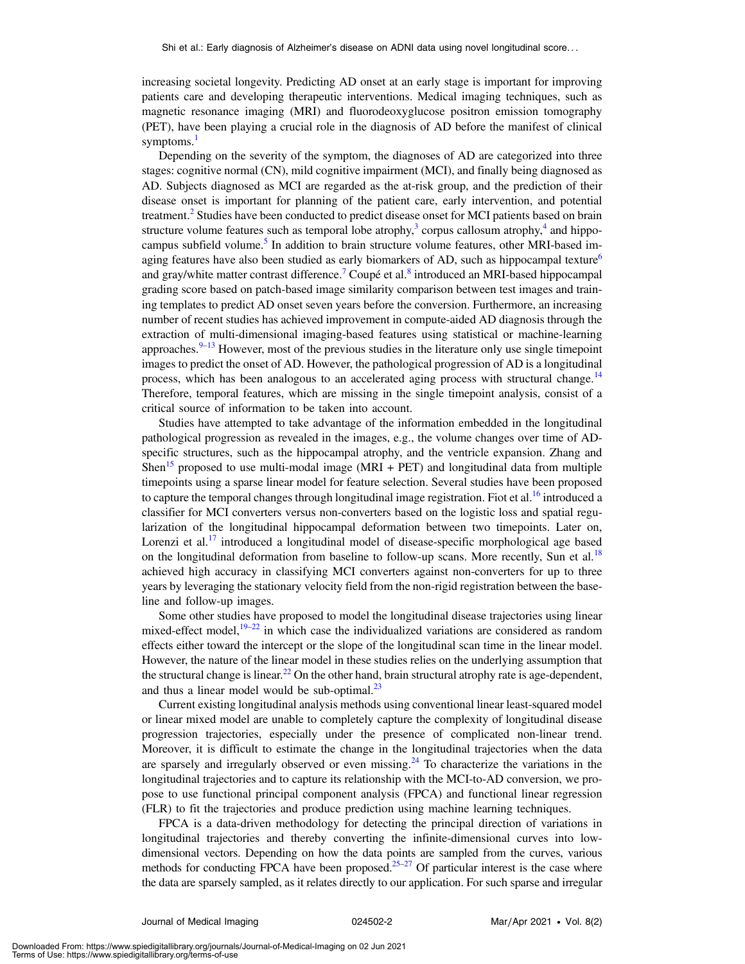increasing societal longevity. Predicting AD onset at an early stage is important for improving patients care and developing therapeutic interventions. Medical imaging techniques, such as magnetic resonance imaging (MRI) and fluorodeoxyglucose positron emission tomography (PET), have been playing a crucial role in the diagnosis of AD before the manifest of clinical symptoms.<sup>[1](#page-13-0)</sup>

Depending on the severity of the symptom, the diagnoses of AD are categorized into three stages: cognitive normal (CN), mild cognitive impairment (MCI), and finally being diagnosed as AD. Subjects diagnosed as MCI are regarded as the at-risk group, and the prediction of their disease onset is important for planning of the patient care, early intervention, and potential treatment.<sup>[2](#page-13-1)</sup> Studies have been conducted to predict disease onset for MCI patients based on brain structure volume features such as temporal lobe atrophy,<sup>[3](#page-13-2)</sup> corpus callosum atrophy,<sup>[4](#page-13-3)</sup> and hippo-campus subfield volume.<sup>[5](#page-13-4)</sup> In addition to brain structure volume features, other MRI-based im-aging features have also been studied as early biomarkers of AD, such as hippocampal texture<sup>[6](#page-13-5)</sup> and gray/white matter contrast difference.<sup>[7](#page-13-6)</sup> Coupé et al.<sup>[8](#page-13-7)</sup> introduced an MRI-based hippocampal grading score based on patch-based image similarity comparison between test images and training templates to predict AD onset seven years before the conversion. Furthermore, an increasing number of recent studies has achieved improvement in compute-aided AD diagnosis through the extraction of multi-dimensional imaging-based features using statistical or machine-learning approaches. $9-13$  $9-13$  $9-13$  However, most of the previous studies in the literature only use single timepoint images to predict the onset of AD. However, the pathological progression of AD is a longitudinal process, which has been analogous to an accelerated aging process with structural change.<sup>[14](#page-13-10)</sup> Therefore, temporal features, which are missing in the single timepoint analysis, consist of a critical source of information to be taken into account.

Studies have attempted to take advantage of the information embedded in the longitudinal pathological progression as revealed in the images, e.g., the volume changes over time of ADspecific structures, such as the hippocampal atrophy, and the ventricle expansion. Zhang and Shen<sup>[15](#page-13-11)</sup> proposed to use multi-modal image (MRI + PET) and longitudinal data from multiple timepoints using a sparse linear model for feature selection. Several studies have been proposed to capture the temporal changes through longitudinal image registration. Fiot et al.<sup>[16](#page-13-12)</sup> introduced a classifier for MCI converters versus non-converters based on the logistic loss and spatial regularization of the longitudinal hippocampal deformation between two timepoints. Later on, Lorenzi et al.<sup>[17](#page-13-13)</sup> introduced a longitudinal model of disease-specific morphological age based on the longitudinal deformation from baseline to follow-up scans. More recently, Sun et al.<sup>[18](#page-13-14)</sup> achieved high accuracy in classifying MCI converters against non-converters for up to three years by leveraging the stationary velocity field from the non-rigid registration between the baseline and follow-up images.

Some other studies have proposed to model the longitudinal disease trajectories using linear mixed-effect model, $19-22$  $19-22$  $19-22$  in which case the individualized variations are considered as random effects either toward the intercept or the slope of the longitudinal scan time in the linear model. However, the nature of the linear model in these studies relies on the underlying assumption that the structural change is linear.<sup>[22](#page-13-16)</sup> On the other hand, brain structural atrophy rate is age-dependent, and thus a linear model would be sub-optimal. $^{23}$ 

Current existing longitudinal analysis methods using conventional linear least-squared model or linear mixed model are unable to completely capture the complexity of longitudinal disease progression trajectories, especially under the presence of complicated non-linear trend. Moreover, it is difficult to estimate the change in the longitudinal trajectories when the data are sparsely and irregularly observed or even missing.<sup>[24](#page-14-0)</sup> To characterize the variations in the longitudinal trajectories and to capture its relationship with the MCI-to-AD conversion, we propose to use functional principal component analysis (FPCA) and functional linear regression (FLR) to fit the trajectories and produce prediction using machine learning techniques.

FPCA is a data-driven methodology for detecting the principal direction of variations in longitudinal trajectories and thereby converting the infinite-dimensional curves into lowdimensional vectors. Depending on how the data points are sampled from the curves, various methods for conducting FPCA have been proposed.<sup>25–[27](#page-14-2)</sup> Of particular interest is the case where the data are sparsely sampled, as it relates directly to our application. For such sparse and irregular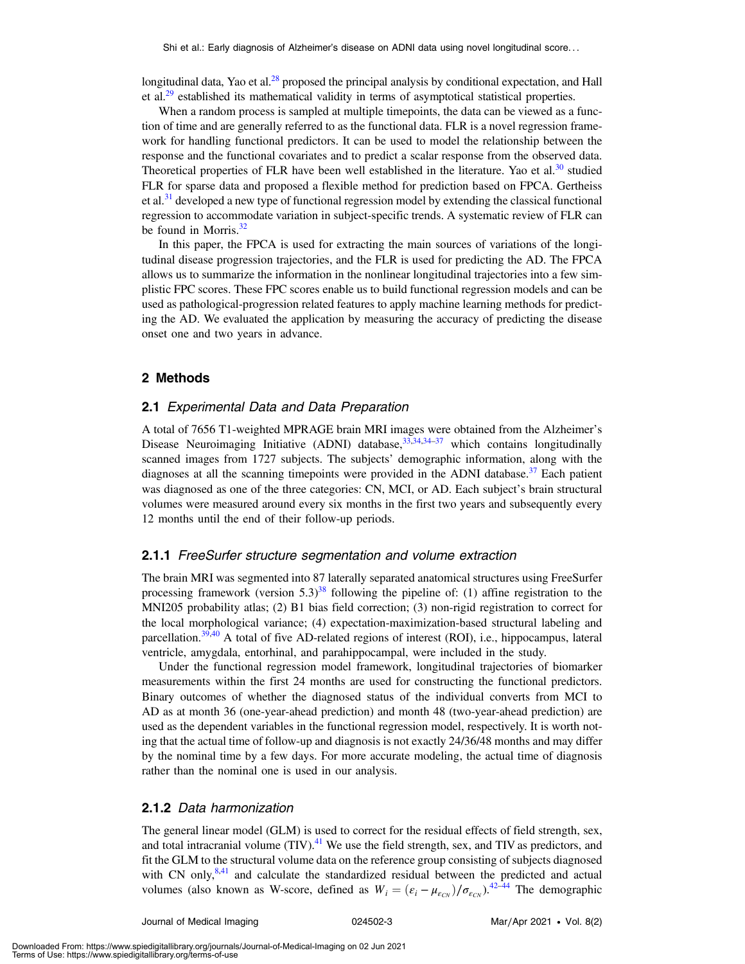longitudinal data, Yao et al.<sup>28</sup> proposed the principal analysis by conditional expectation, and Hall et al.<sup>29</sup> established its mathematical validity in terms of asymptotical statistical properties.

When a random process is sampled at multiple timepoints, the data can be viewed as a function of time and are generally referred to as the functional data. FLR is a novel regression framework for handling functional predictors. It can be used to model the relationship between the response and the functional covariates and to predict a scalar response from the observed data. Theoretical properties of FLR have been well established in the literature. Yao et al.<sup>[30](#page-14-5)</sup> studied FLR for sparse data and proposed a flexible method for prediction based on FPCA. Gertheiss et al.<sup>[31](#page-14-6)</sup> developed a new type of functional regression model by extending the classical functional regression to accommodate variation in subject-specific trends. A systematic review of FLR can be found in Morris. $32$ 

In this paper, the FPCA is used for extracting the main sources of variations of the longitudinal disease progression trajectories, and the FLR is used for predicting the AD. The FPCA allows us to summarize the information in the nonlinear longitudinal trajectories into a few simplistic FPC scores. These FPC scores enable us to build functional regression models and can be used as pathological-progression related features to apply machine learning methods for predicting the AD. We evaluated the application by measuring the accuracy of predicting the disease onset one and two years in advance.

#### 2 Methods

# 2.1 Experimental Data and Data Preparation

A total of 7656 T1-weighted MPRAGE brain MRI images were obtained from the Alzheimer's Disease Neuroimaging Initiative (ADNI) database,<sup>[33](#page-14-8)[,34](#page-14-9),[34](#page-14-9)–[37](#page-14-10)</sup> which contains longitudinally scanned images from 1727 subjects. The subjects' demographic information, along with the diagnoses at all the scanning timepoints were provided in the ADNI database.<sup>[37](#page-14-10)</sup> Each patient was diagnosed as one of the three categories: CN, MCI, or AD. Each subject's brain structural volumes were measured around every six months in the first two years and subsequently every 12 months until the end of their follow-up periods.

#### 2.1.1 FreeSurfer structure segmentation and volume extraction

The brain MRI was segmented into 87 laterally separated anatomical structures using FreeSurfer processing framework (version  $5.3$ )<sup>[38](#page-14-11)</sup> following the pipeline of: (1) affine registration to the MNI205 probability atlas; (2) B1 bias field correction; (3) non-rigid registration to correct for the local morphological variance; (4) expectation-maximization-based structural labeling and parcellation.<sup>[39](#page-14-12),[40](#page-14-13)</sup> A total of five AD-related regions of interest (ROI), i.e., hippocampus, lateral ventricle, amygdala, entorhinal, and parahippocampal, were included in the study.

Under the functional regression model framework, longitudinal trajectories of biomarker measurements within the first 24 months are used for constructing the functional predictors. Binary outcomes of whether the diagnosed status of the individual converts from MCI to AD as at month 36 (one-year-ahead prediction) and month 48 (two-year-ahead prediction) are used as the dependent variables in the functional regression model, respectively. It is worth noting that the actual time of follow-up and diagnosis is not exactly 24/36/48 months and may differ by the nominal time by a few days. For more accurate modeling, the actual time of diagnosis rather than the nominal one is used in our analysis.

#### 2.1.2 Data harmonization

The general linear model (GLM) is used to correct for the residual effects of field strength, sex, and total intracranial volume  $(TIV).<sup>41</sup>$  $(TIV).<sup>41</sup>$  $(TIV).<sup>41</sup>$  We use the field strength, sex, and TIV as predictors, and fit the GLM to the structural volume data on the reference group consisting of subjects diagnosed with CN only, $8,41$  $8,41$  and calculate the standardized residual between the predicted and actual volumes (also known as W-score, defined as  $W_i = (\varepsilon_i - \mu_{\varepsilon_{CN}})/\sigma_{\varepsilon_{CN}}$ ).<sup>[42](#page-14-15)–[44](#page-14-16)</sup> The demographic

Downloaded From: https://www.spiedigitallibrary.org/journals/Journal-of-Medical-Imaging on 02 Jun 2021 Terms of Use: https://www.spiedigitallibrary.org/terms-of-use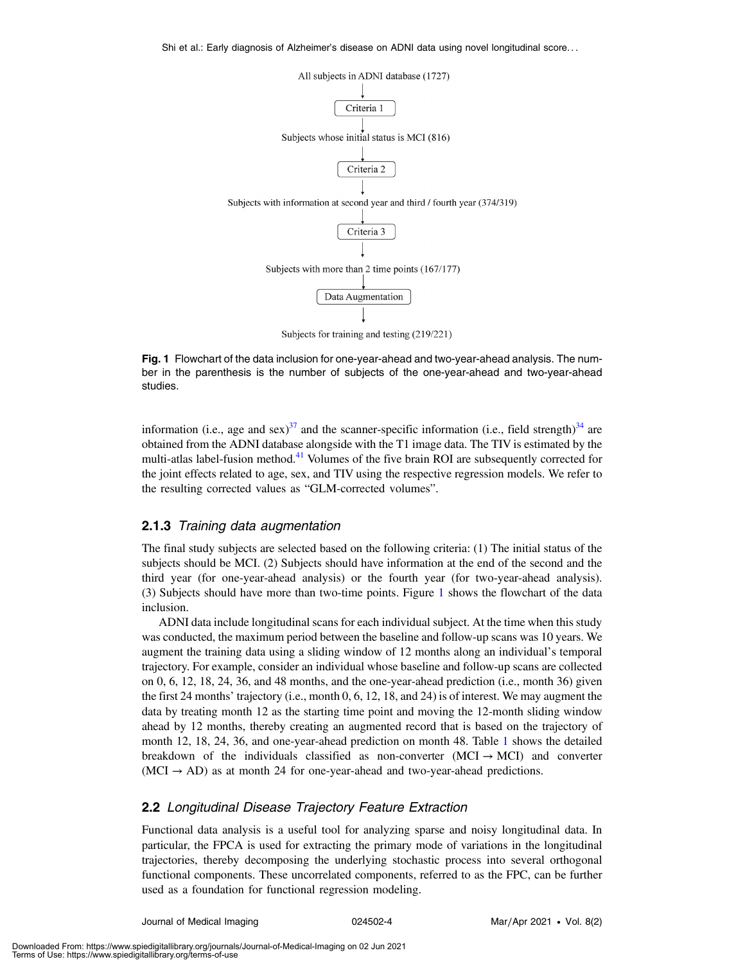<span id="page-3-0"></span>

Fig. 1 Flowchart of the data inclusion for one-year-ahead and two-year-ahead analysis. The number in the parenthesis is the number of subjects of the one-year-ahead and two-year-ahead studies.

information (i.e., age and sex)<sup>[37](#page-14-10)</sup> and the scanner-specific information (i.e., field strength)<sup>[34](#page-14-9)</sup> are obtained from the ADNI database alongside with the T1 image data. The TIV is estimated by the multi-atlas label-fusion method.<sup>[41](#page-14-14)</sup> Volumes of the five brain ROI are subsequently corrected for the joint effects related to age, sex, and TIV using the respective regression models. We refer to the resulting corrected values as "GLM-corrected volumes".

#### 2.1.3 Training data augmentation

The final study subjects are selected based on the following criteria: (1) The initial status of the subjects should be MCI. (2) Subjects should have information at the end of the second and the third year (for one-year-ahead analysis) or the fourth year (for two-year-ahead analysis). (3) Subjects should have more than two-time points. Figure [1](#page-3-0) shows the flowchart of the data inclusion.

ADNI data include longitudinal scans for each individual subject. At the time when this study was conducted, the maximum period between the baseline and follow-up scans was 10 years. We augment the training data using a sliding window of 12 months along an individual's temporal trajectory. For example, consider an individual whose baseline and follow-up scans are collected on 0, 6, 12, 18, 24, 36, and 48 months, and the one-year-ahead prediction (i.e., month 36) given the first 24 months' trajectory (i.e., month 0, 6, 12, 18, and 24) is of interest. We may augment the data by treating month 12 as the starting time point and moving the 12-month sliding window ahead by 12 months, thereby creating an augmented record that is based on the trajectory of month 12, 18, 24, 36, and one-year-ahead prediction on month 48. Table [1](#page-4-0) shows the detailed breakdown of the individuals classified as non-converter  $(MCI \rightarrow MCI)$  and converter  $(MCI \rightarrow AD)$  as at month 24 for one-year-ahead and two-year-ahead predictions.

#### 2.2 Longitudinal Disease Trajectory Feature Extraction

Functional data analysis is a useful tool for analyzing sparse and noisy longitudinal data. In particular, the FPCA is used for extracting the primary mode of variations in the longitudinal trajectories, thereby decomposing the underlying stochastic process into several orthogonal functional components. These uncorrelated components, referred to as the FPC, can be further used as a foundation for functional regression modeling.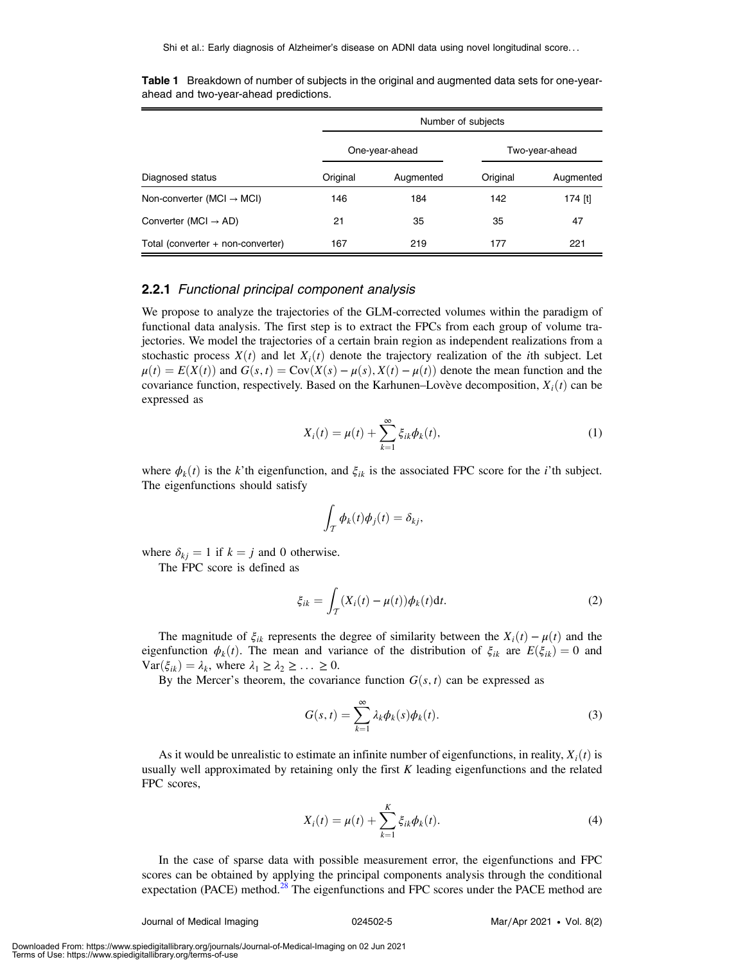| Diagnosed status                      | Number of subjects |                |                |           |  |
|---------------------------------------|--------------------|----------------|----------------|-----------|--|
|                                       |                    | One-year-ahead | Two-year-ahead |           |  |
|                                       | Original           | Augmented      | Original       | Augmented |  |
| Non-converter (MCI $\rightarrow$ MCI) | 146                | 184            | 142            | 174 [t]   |  |
| Converter (MCI $\rightarrow$ AD)      | 21                 | 35             | 35             | 47        |  |
| Total (converter + non-converter)     | 167                | 219            | 177            | 221       |  |

<span id="page-4-0"></span>Table 1 Breakdown of number of subjects in the original and augmented data sets for one-yearahead and two-year-ahead predictions.

# 2.2.1 Functional principal component analysis

We propose to analyze the trajectories of the GLM-corrected volumes within the paradigm of functional data analysis. The first step is to extract the FPCs from each group of volume trajectories. We model the trajectories of a certain brain region as independent realizations from a stochastic process  $X(t)$  and let  $X_i(t)$  denote the trajectory realization of the *i*th subject. Let  $\mu(t) = E(X(t))$  and  $G(s, t) = Cov(X(s) - \mu(s), X(t) - \mu(t))$  denote the mean function and the covariance function, respectively. Based on the Karhunen–Lovève decomposition,  $X_i(t)$  can be expressed as

$$
X_i(t) = \mu(t) + \sum_{k=1}^{\infty} \xi_{ik} \phi_k(t),
$$
\n(1)

where  $\phi_k(t)$  is the k'th eigenfunction, and  $\xi_{ik}$  is the associated FPC score for the *i*'th subject. The eigenfunctions should satisfy

$$
\int_{\mathcal{T}} \phi_k(t) \phi_j(t) = \delta_{kj},
$$

where  $\delta_{ki} = 1$  if  $k = j$  and 0 otherwise.

The FPC score is defined as

$$
\xi_{ik} = \int_{\mathcal{T}} (X_i(t) - \mu(t)) \phi_k(t) \mathrm{d}t. \tag{2}
$$

The magnitude of  $\xi_{ik}$  represents the degree of similarity between the  $X_i(t) - \mu(t)$  and the eigenfunction  $\phi_k(t)$ . The mean and variance of the distribution of  $\xi_{ik}$  are  $E(\xi_{ik}) = 0$  and  $\text{Var}(\xi_{ik}) = \lambda_k$ , where  $\lambda_1 \geq \lambda_2 \geq \ldots \geq 0$ .

By the Mercer's theorem, the covariance function  $G(s, t)$  can be expressed as

$$
G(s,t) = \sum_{k=1}^{\infty} \lambda_k \phi_k(s) \phi_k(t).
$$
 (3)

As it would be unrealistic to estimate an infinite number of eigenfunctions, in reality,  $X_i(t)$  is usually well approximated by retaining only the first  $K$  leading eigenfunctions and the related FPC scores,

$$
X_i(t) = \mu(t) + \sum_{k=1}^{K} \xi_{ik} \phi_k(t).
$$
 (4)

In the case of sparse data with possible measurement error, the eigenfunctions and FPC scores can be obtained by applying the principal components analysis through the conditional expectation (PACE) method.<sup>[28](#page-14-3)</sup> The eigenfunctions and FPC scores under the PACE method are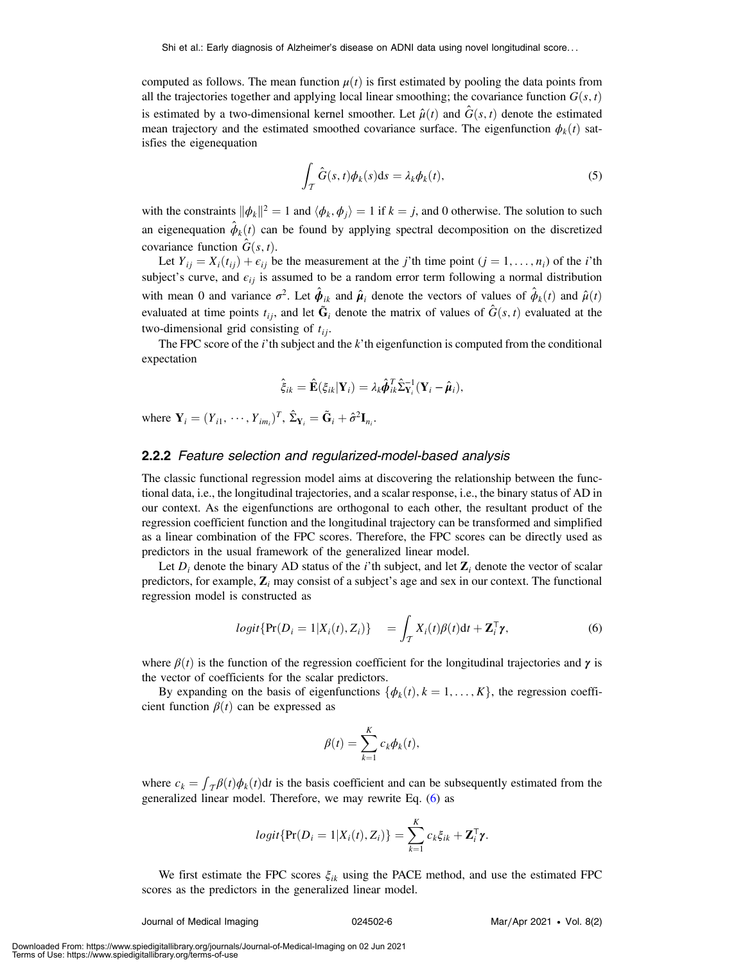computed as follows. The mean function  $\mu(t)$  is first estimated by pooling the data points from all the trajectories together and applying local linear smoothing; the covariance function  $G(s, t)$ is estimated by a two-dimensional kernel smoother. Let  $\hat{\mu}(t)$  and  $\hat{G}(s, t)$  denote the estimated mean trajectory and the estimated smoothed covariance surface. The eigenfunction  $\phi_k(t)$  satisfies the eigenequation

$$
\int_{\mathcal{T}} \hat{G}(s,t)\phi_k(s)ds = \lambda_k \phi_k(t),
$$
\n(5)

with the constraints  $\|\phi_k\|^2 = 1$  and  $\langle \phi_k, \phi_j \rangle = 1$  if  $k = j$ , and 0 otherwise. The solution to such an eigenequation  $\phi_k(t)$  can be found by applying spectral decomposition on the discretized covariance function  $\hat{G}(s, t)$ .

Let  $Y_{ii} = X_i(t_{ii}) + \epsilon_{ii}$  be the measurement at the j'th time point  $(j = 1, \ldots, n_i)$  of the i'th subject's curve, and  $\epsilon_{ij}$  is assumed to be a random error term following a normal distribution with mean 0 and variance  $\sigma^2$ . Let  $\hat{\phi}_{ik}$  and  $\hat{\mu}_i$  denote the vectors of values of  $\hat{\phi}_k(t)$  and  $\hat{\mu}(t)$ evaluated at time points  $t_{ij}$ , and let  $\tilde{G}_i$  denote the matrix of values of  $\hat{G}$ (s, t) evaluated at the two-dimensional grid consisting of  $t_{ii}$ .

The FPC score of the  $i'$ th subject and the  $k'$ th eigenfunction is computed from the conditional expectation

$$
\hat{\xi}_{ik} = \hat{\mathbf{E}}(\xi_{ik}|\mathbf{Y}_i) = \lambda_k \hat{\boldsymbol{\phi}}_{ik}^T \hat{\boldsymbol{\Sigma}}_{\mathbf{Y}_i}^{-1} (\mathbf{Y}_i - \hat{\boldsymbol{\mu}}_i),
$$

where  $\mathbf{Y}_i = (Y_{i1}, \dots, Y_{im_i})^T$ ,  $\hat{\Sigma}_{\mathbf{Y}_i} = \tilde{\mathbf{G}}_i + \hat{\sigma}^2 \mathbf{I}_{n_i}$ .

### 2.2.2 Feature selection and regularized-model-based analysis

The classic functional regression model aims at discovering the relationship between the functional data, i.e., the longitudinal trajectories, and a scalar response, i.e., the binary status of AD in our context. As the eigenfunctions are orthogonal to each other, the resultant product of the regression coefficient function and the longitudinal trajectory can be transformed and simplified as a linear combination of the FPC scores. Therefore, the FPC scores can be directly used as predictors in the usual framework of the generalized linear model.

<span id="page-5-0"></span>Let  $D_i$  denote the binary AD status of the *i*'th subject, and let  $\mathbb{Z}_i$  denote the vector of scalar predictors, for example,  $\mathbf{Z}_i$  may consist of a subject's age and sex in our context. The functional regression model is constructed as

$$
logit\{\Pr(D_i=1|X_i(t),Z_i)\} = \int_{\mathcal{T}} X_i(t)\beta(t)dt + \mathbf{Z}_i^{\mathsf{T}}\boldsymbol{\gamma},
$$
\n(6)

where  $\beta(t)$  is the function of the regression coefficient for the longitudinal trajectories and  $\gamma$  is the vector of coefficients for the scalar predictors.

By expanding on the basis of eigenfunctions  $\{\phi_k(t), k = 1, \ldots, K\}$ , the regression coefficient function  $\beta(t)$  can be expressed as

$$
\beta(t) = \sum_{k=1}^K c_k \phi_k(t),
$$

where  $c_k = \int_{\tau} \beta(t) \phi_k(t) dt$  is the basis coefficient and can be subsequently estimated from the generalized linear model. Therefore, we may rewrite Eq. ([6\)](#page-5-0) as

$$
logit\{\Pr(D_i=1|X_i(t),Z_i)\}=\sum_{k=1}^K c_k \xi_{ik}+\mathbf{Z}_i^{\mathsf{T}} \boldsymbol{\gamma}.
$$

We first estimate the FPC scores  $\xi_{ik}$  using the PACE method, and use the estimated FPC scores as the predictors in the generalized linear model.

Journal of Medical Imaging 024502-6 Mar∕Apr 2021 • Vol. 8(2)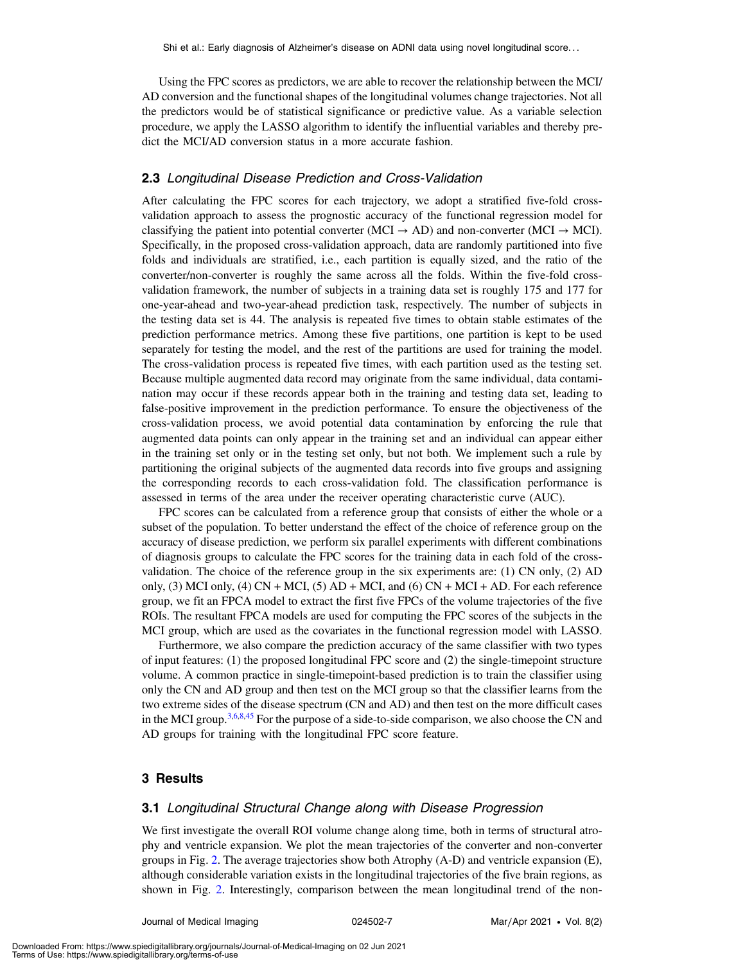Using the FPC scores as predictors, we are able to recover the relationship between the MCI/ AD conversion and the functional shapes of the longitudinal volumes change trajectories. Not all the predictors would be of statistical significance or predictive value. As a variable selection procedure, we apply the LASSO algorithm to identify the influential variables and thereby predict the MCI/AD conversion status in a more accurate fashion.

## 2.3 Longitudinal Disease Prediction and Cross-Validation

After calculating the FPC scores for each trajectory, we adopt a stratified five-fold crossvalidation approach to assess the prognostic accuracy of the functional regression model for classifying the patient into potential converter (MCI  $\rightarrow$  AD) and non-converter (MCI  $\rightarrow$  MCI). Specifically, in the proposed cross-validation approach, data are randomly partitioned into five folds and individuals are stratified, i.e., each partition is equally sized, and the ratio of the converter/non-converter is roughly the same across all the folds. Within the five-fold crossvalidation framework, the number of subjects in a training data set is roughly 175 and 177 for one-year-ahead and two-year-ahead prediction task, respectively. The number of subjects in the testing data set is 44. The analysis is repeated five times to obtain stable estimates of the prediction performance metrics. Among these five partitions, one partition is kept to be used separately for testing the model, and the rest of the partitions are used for training the model. The cross-validation process is repeated five times, with each partition used as the testing set. Because multiple augmented data record may originate from the same individual, data contamination may occur if these records appear both in the training and testing data set, leading to false-positive improvement in the prediction performance. To ensure the objectiveness of the cross-validation process, we avoid potential data contamination by enforcing the rule that augmented data points can only appear in the training set and an individual can appear either in the training set only or in the testing set only, but not both. We implement such a rule by partitioning the original subjects of the augmented data records into five groups and assigning the corresponding records to each cross-validation fold. The classification performance is assessed in terms of the area under the receiver operating characteristic curve (AUC).

FPC scores can be calculated from a reference group that consists of either the whole or a subset of the population. To better understand the effect of the choice of reference group on the accuracy of disease prediction, we perform six parallel experiments with different combinations of diagnosis groups to calculate the FPC scores for the training data in each fold of the crossvalidation. The choice of the reference group in the six experiments are: (1) CN only, (2) AD only, (3) MCI only, (4) CN + MCI, (5) AD + MCI, and (6) CN + MCI + AD. For each reference group, we fit an FPCA model to extract the first five FPCs of the volume trajectories of the five ROIs. The resultant FPCA models are used for computing the FPC scores of the subjects in the MCI group, which are used as the covariates in the functional regression model with LASSO.

Furthermore, we also compare the prediction accuracy of the same classifier with two types of input features: (1) the proposed longitudinal FPC score and (2) the single-timepoint structure volume. A common practice in single-timepoint-based prediction is to train the classifier using only the CN and AD group and then test on the MCI group so that the classifier learns from the two extreme sides of the disease spectrum (CN and AD) and then test on the more difficult cases in the MCI group.<sup>[3](#page-13-2),[6](#page-13-5),[8](#page-13-7)[,45](#page-14-17)</sup> For the purpose of a side-to-side comparison, we also choose the CN and AD groups for training with the longitudinal FPC score feature.

## 3 Results

#### 3.1 Longitudinal Structural Change along with Disease Progression

We first investigate the overall ROI volume change along time, both in terms of structural atrophy and ventricle expansion. We plot the mean trajectories of the converter and non-converter groups in Fig. [2.](#page-7-0) The average trajectories show both Atrophy (A-D) and ventricle expansion (E), although considerable variation exists in the longitudinal trajectories of the five brain regions, as shown in Fig. [2](#page-7-0). Interestingly, comparison between the mean longitudinal trend of the non-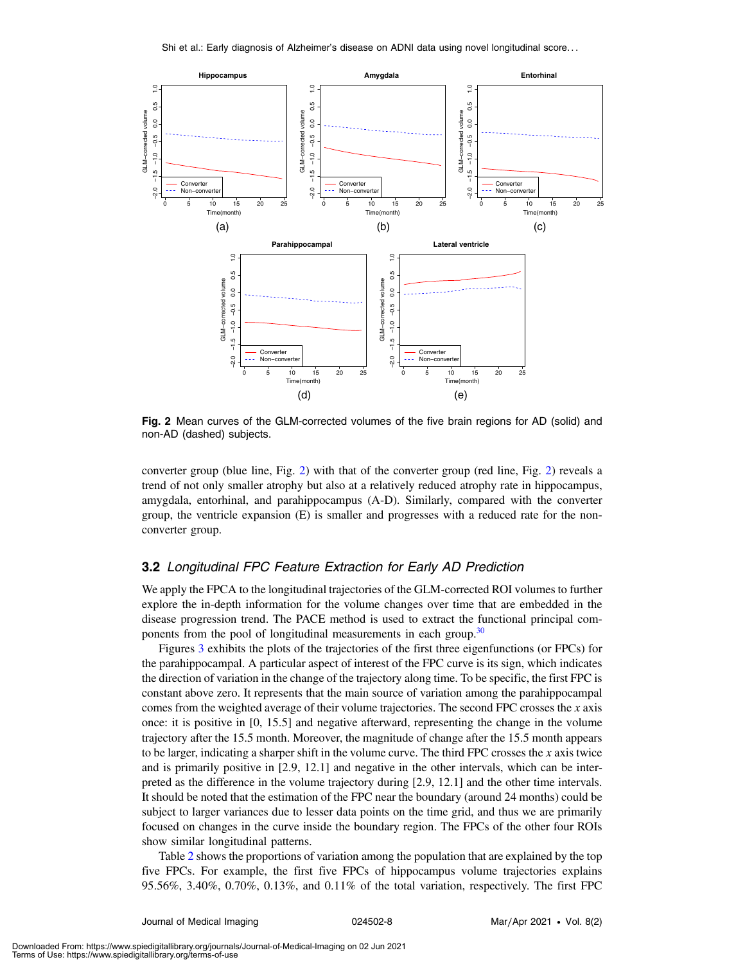<span id="page-7-0"></span>

Fig. 2 Mean curves of the GLM-corrected volumes of the five brain regions for AD (solid) and non-AD (dashed) subjects.

converter group (blue line, Fig. [2](#page-7-0)) with that of the converter group (red line, Fig. [2](#page-7-0)) reveals a trend of not only smaller atrophy but also at a relatively reduced atrophy rate in hippocampus, amygdala, entorhinal, and parahippocampus (A-D). Similarly, compared with the converter group, the ventricle expansion (E) is smaller and progresses with a reduced rate for the nonconverter group.

## 3.2 Longitudinal FPC Feature Extraction for Early AD Prediction

We apply the FPCA to the longitudinal trajectories of the GLM-corrected ROI volumes to further explore the in-depth information for the volume changes over time that are embedded in the disease progression trend. The PACE method is used to extract the functional principal com-ponents from the pool of longitudinal measurements in each group.<sup>[30](#page-14-5)</sup>

Figures [3](#page-8-0) exhibits the plots of the trajectories of the first three eigenfunctions (or FPCs) for the parahippocampal. A particular aspect of interest of the FPC curve is its sign, which indicates the direction of variation in the change of the trajectory along time. To be specific, the first FPC is constant above zero. It represents that the main source of variation among the parahippocampal comes from the weighted average of their volume trajectories. The second FPC crosses the  $x$  axis once: it is positive in [0, 15.5] and negative afterward, representing the change in the volume trajectory after the 15.5 month. Moreover, the magnitude of change after the 15.5 month appears to be larger, indicating a sharper shift in the volume curve. The third FPC crosses the  $x$  axis twice and is primarily positive in [2.9, 12.1] and negative in the other intervals, which can be interpreted as the difference in the volume trajectory during [2.9, 12.1] and the other time intervals. It should be noted that the estimation of the FPC near the boundary (around 24 months) could be subject to larger variances due to lesser data points on the time grid, and thus we are primarily focused on changes in the curve inside the boundary region. The FPCs of the other four ROIs show similar longitudinal patterns.

Table [2](#page-8-1) shows the proportions of variation among the population that are explained by the top five FPCs. For example, the first five FPCs of hippocampus volume trajectories explains 95.56%, 3.40%, 0.70%, 0.13%, and 0.11% of the total variation, respectively. The first FPC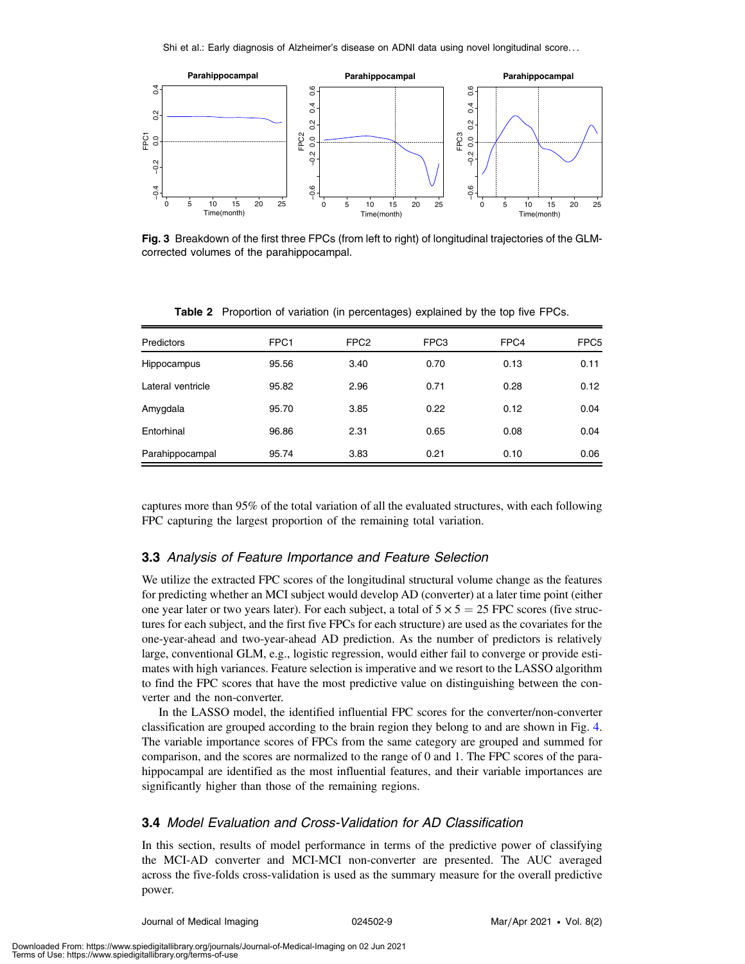<span id="page-8-0"></span>

Fig. 3 Breakdown of the first three FPCs (from left to right) of longitudinal trajectories of the GLMcorrected volumes of the parahippocampal.

<span id="page-8-1"></span>

| <b>Predictors</b> | FPC1  | FPC <sub>2</sub> | FPC3 | FPC4 | FPC <sub>5</sub> |
|-------------------|-------|------------------|------|------|------------------|
| Hippocampus       | 95.56 | 3.40             | 0.70 | 0.13 | 0.11             |
| Lateral ventricle | 95.82 | 2.96             | 0.71 | 0.28 | 0.12             |
| Amygdala          | 95.70 | 3.85             | 0.22 | 0.12 | 0.04             |
| Entorhinal        | 96.86 | 2.31             | 0.65 | 0.08 | 0.04             |
| Parahippocampal   | 95.74 | 3.83             | 0.21 | 0.10 | 0.06             |

Table 2 Proportion of variation (in percentages) explained by the top five FPCs.

captures more than 95% of the total variation of all the evaluated structures, with each following FPC capturing the largest proportion of the remaining total variation.

#### 3.3 Analysis of Feature Importance and Feature Selection

We utilize the extracted FPC scores of the longitudinal structural volume change as the features for predicting whether an MCI subject would develop AD (converter) at a later time point (either one year later or two years later). For each subject, a total of  $5 \times 5 = 25$  FPC scores (five structures for each subject, and the first five FPCs for each structure) are used as the covariates for the one-year-ahead and two-year-ahead AD prediction. As the number of predictors is relatively large, conventional GLM, e.g., logistic regression, would either fail to converge or provide estimates with high variances. Feature selection is imperative and we resort to the LASSO algorithm to find the FPC scores that have the most predictive value on distinguishing between the converter and the non-converter.

In the LASSO model, the identified influential FPC scores for the converter/non-converter classification are grouped according to the brain region they belong to and are shown in Fig. [4.](#page-9-0) The variable importance scores of FPCs from the same category are grouped and summed for comparison, and the scores are normalized to the range of 0 and 1. The FPC scores of the parahippocampal are identified as the most influential features, and their variable importances are significantly higher than those of the remaining regions.

## 3.4 Model Evaluation and Cross-Validation for AD Classification

In this section, results of model performance in terms of the predictive power of classifying the MCI-AD converter and MCI-MCI non-converter are presented. The AUC averaged across the five-folds cross-validation is used as the summary measure for the overall predictive power.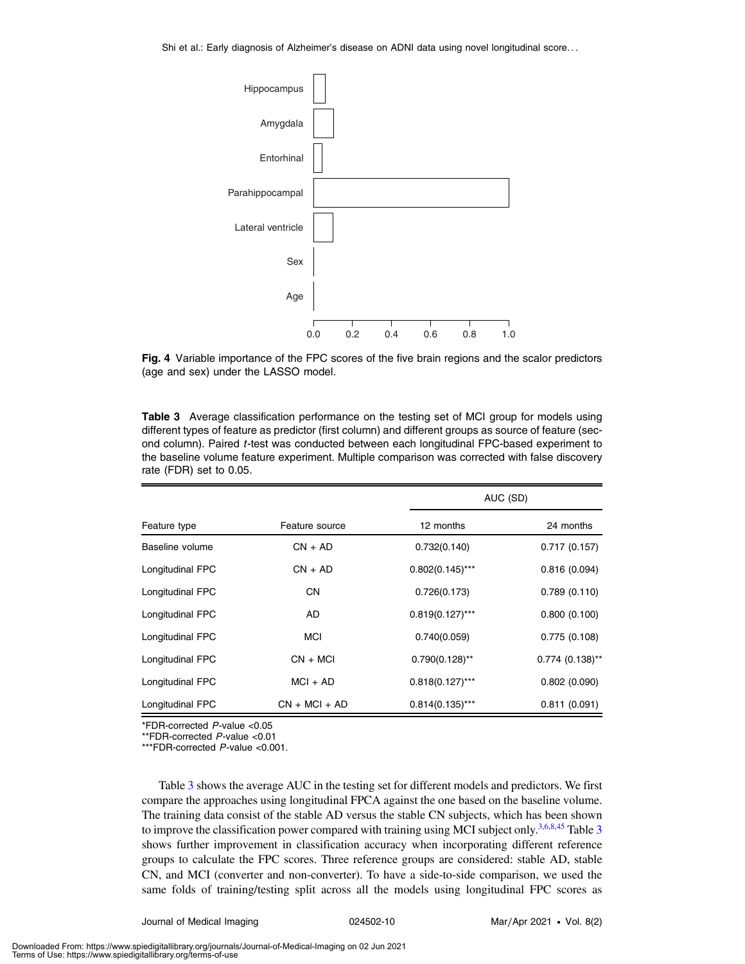<span id="page-9-0"></span>

Fig. 4 Variable importance of the FPC scores of the five brain regions and the scalor predictors (age and sex) under the LASSO model.

<span id="page-9-1"></span>

| <b>Table 3</b> Average classification performance on the testing set of MCI group for models using     |
|--------------------------------------------------------------------------------------------------------|
| different types of feature as predictor (first column) and different groups as source of feature (sec- |
| ond column). Paired t-test was conducted between each longitudinal FPC-based experiment to             |
| the baseline volume feature experiment. Multiple comparison was corrected with false discovery         |
| rate (FDR) set to 0.05.                                                                                |

|                  |                 | AUC (SD)           |                   |  |
|------------------|-----------------|--------------------|-------------------|--|
| Feature type     | Feature source  | 12 months          | 24 months         |  |
| Baseline volume  | $CN + AD$       | 0.732(0.140)       | 0.717(0.157)      |  |
| Longitudinal FPC | $CN + AD$       | $0.802(0.145)$ *** | 0.816(0.094)      |  |
| Longitudinal FPC | <b>CN</b>       | 0.726(0.173)       | 0.789(0.110)      |  |
| Longitudinal FPC | AD              | $0.819(0.127)$ *** | 0.800(0.100)      |  |
| Longitudinal FPC | <b>MCI</b>      | 0.740(0.059)       | 0.775(0.108)      |  |
| Longitudinal FPC | $CN + MCI$      | $0.790(0.128)$ **  | $0.774$ (0.138)** |  |
| Longitudinal FPC | $MCI + AD$      | $0.818(0.127)$ *** | 0.802(0.090)      |  |
| Longitudinal FPC | $CN + MCl + AD$ | $0.814(0.135)$ *** | 0.811(0.091)      |  |

\*FDR-corrected P-value <0.05

\*\*FDR-corrected P-value <0.01

\*\*\*FDR-corrected P-value <0.001.

Table [3](#page-9-1) shows the average AUC in the testing set for different models and predictors. We first compare the approaches using longitudinal FPCA against the one based on the baseline volume. The training data consist of the stable AD versus the stable CN subjects, which has been shown to improve the classification power compared with training using MCI subject only.<sup>[3,](#page-13-2)[6,](#page-13-5)[8,](#page-13-7)[45](#page-14-17)</sup> Table [3](#page-9-1) shows further improvement in classification accuracy when incorporating different reference groups to calculate the FPC scores. Three reference groups are considered: stable AD, stable CN, and MCI (converter and non-converter). To have a side-to-side comparison, we used the same folds of training/testing split across all the models using longitudinal FPC scores as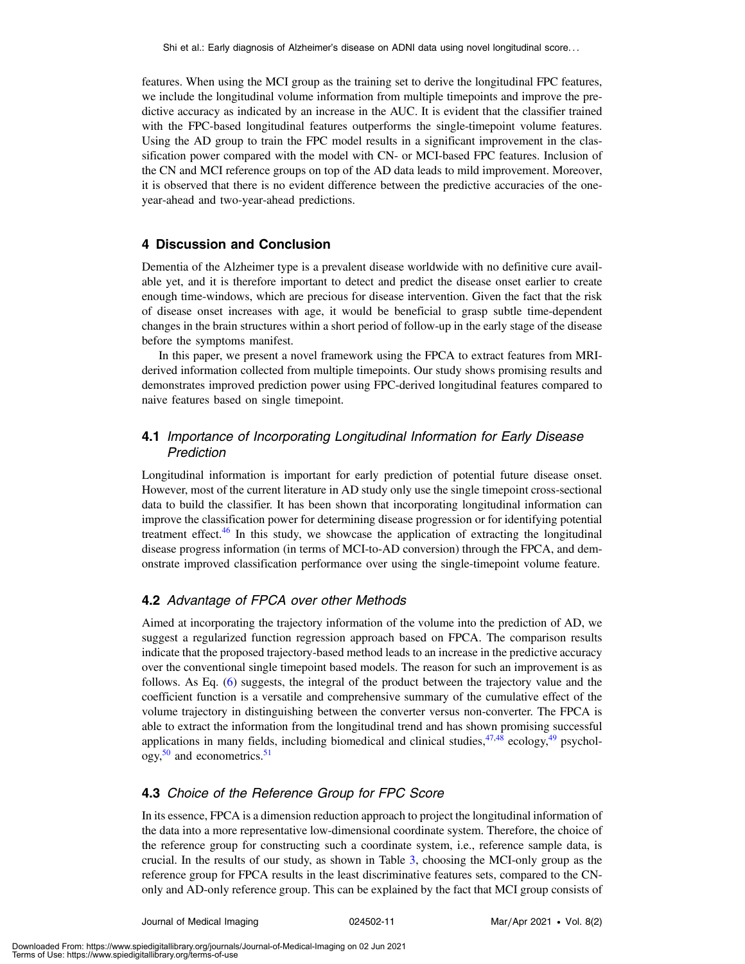features. When using the MCI group as the training set to derive the longitudinal FPC features, we include the longitudinal volume information from multiple timepoints and improve the predictive accuracy as indicated by an increase in the AUC. It is evident that the classifier trained with the FPC-based longitudinal features outperforms the single-timepoint volume features. Using the AD group to train the FPC model results in a significant improvement in the classification power compared with the model with CN- or MCI-based FPC features. Inclusion of the CN and MCI reference groups on top of the AD data leads to mild improvement. Moreover, it is observed that there is no evident difference between the predictive accuracies of the oneyear-ahead and two-year-ahead predictions.

# 4 Discussion and Conclusion

Dementia of the Alzheimer type is a prevalent disease worldwide with no definitive cure available yet, and it is therefore important to detect and predict the disease onset earlier to create enough time-windows, which are precious for disease intervention. Given the fact that the risk of disease onset increases with age, it would be beneficial to grasp subtle time-dependent changes in the brain structures within a short period of follow-up in the early stage of the disease before the symptoms manifest.

In this paper, we present a novel framework using the FPCA to extract features from MRIderived information collected from multiple timepoints. Our study shows promising results and demonstrates improved prediction power using FPC-derived longitudinal features compared to naive features based on single timepoint.

# 4.1 Importance of Incorporating Longitudinal Information for Early Disease Prediction

Longitudinal information is important for early prediction of potential future disease onset. However, most of the current literature in AD study only use the single timepoint cross-sectional data to build the classifier. It has been shown that incorporating longitudinal information can improve the classification power for determining disease progression or for identifying potential treatment effect.<sup>[46](#page-14-18)</sup> In this study, we showcase the application of extracting the longitudinal disease progress information (in terms of MCI-to-AD conversion) through the FPCA, and demonstrate improved classification performance over using the single-timepoint volume feature.

# 4.2 Advantage of FPCA over other Methods

Aimed at incorporating the trajectory information of the volume into the prediction of AD, we suggest a regularized function regression approach based on FPCA. The comparison results indicate that the proposed trajectory-based method leads to an increase in the predictive accuracy over the conventional single timepoint based models. The reason for such an improvement is as follows. As Eq. ([6\)](#page-5-0) suggests, the integral of the product between the trajectory value and the coefficient function is a versatile and comprehensive summary of the cumulative effect of the volume trajectory in distinguishing between the converter versus non-converter. The FPCA is able to extract the information from the longitudinal trend and has shown promising successful applications in many fields, including biomedical and clinical studies,  $47,48$  $47,48$  ecology,  $49$  psychol $ogy,$ <sup>[50](#page-15-1)</sup> and econometrics.<sup>[51](#page-15-2)</sup>

## 4.3 Choice of the Reference Group for FPC Score

In its essence, FPCA is a dimension reduction approach to project the longitudinal information of the data into a more representative low-dimensional coordinate system. Therefore, the choice of the reference group for constructing such a coordinate system, i.e., reference sample data, is crucial. In the results of our study, as shown in Table [3,](#page-9-1) choosing the MCI-only group as the reference group for FPCA results in the least discriminative features sets, compared to the CNonly and AD-only reference group. This can be explained by the fact that MCI group consists of

Journal of Medical Imaging 024502-11 Mar∕Apr 2021 • Vol. 8(2)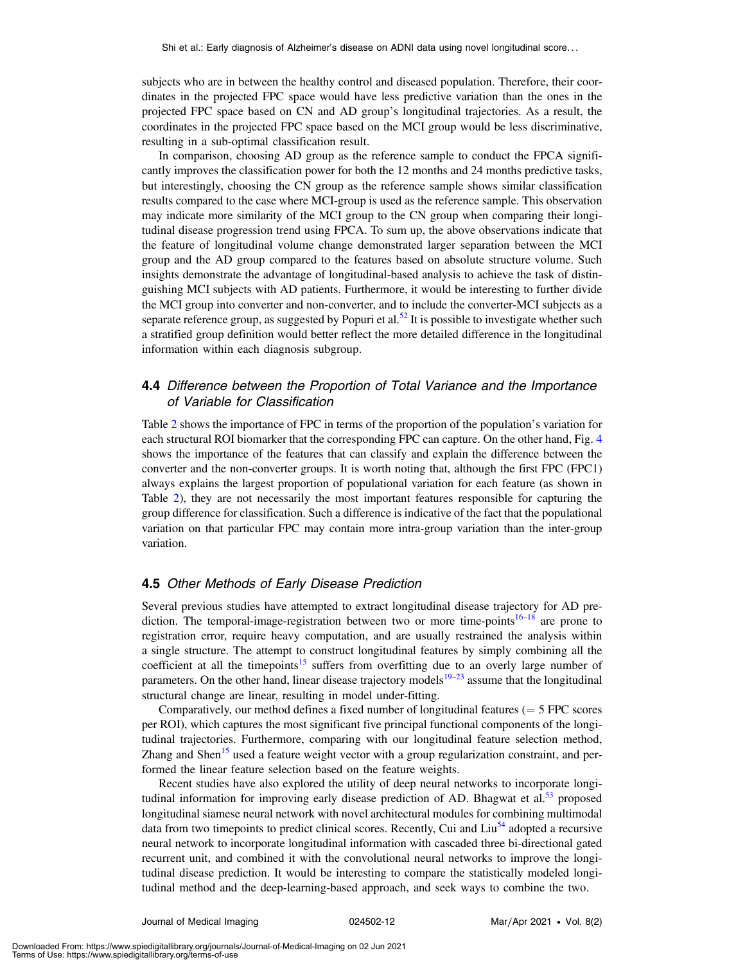subjects who are in between the healthy control and diseased population. Therefore, their coordinates in the projected FPC space would have less predictive variation than the ones in the projected FPC space based on CN and AD group's longitudinal trajectories. As a result, the coordinates in the projected FPC space based on the MCI group would be less discriminative, resulting in a sub-optimal classification result.

In comparison, choosing AD group as the reference sample to conduct the FPCA significantly improves the classification power for both the 12 months and 24 months predictive tasks, but interestingly, choosing the CN group as the reference sample shows similar classification results compared to the case where MCI-group is used as the reference sample. This observation may indicate more similarity of the MCI group to the CN group when comparing their longitudinal disease progression trend using FPCA. To sum up, the above observations indicate that the feature of longitudinal volume change demonstrated larger separation between the MCI group and the AD group compared to the features based on absolute structure volume. Such insights demonstrate the advantage of longitudinal-based analysis to achieve the task of distinguishing MCI subjects with AD patients. Furthermore, it would be interesting to further divide the MCI group into converter and non-converter, and to include the converter-MCI subjects as a separate reference group, as suggested by Popuri et al.<sup>[52](#page-15-3)</sup> It is possible to investigate whether such a stratified group definition would better reflect the more detailed difference in the longitudinal information within each diagnosis subgroup.

# 4.4 Difference between the Proportion of Total Variance and the Importance of Variable for Classification

Table [2](#page-8-1) shows the importance of FPC in terms of the proportion of the population's variation for each structural ROI biomarker that the corresponding FPC can capture. On the other hand, Fig. [4](#page-9-0) shows the importance of the features that can classify and explain the difference between the converter and the non-converter groups. It is worth noting that, although the first FPC (FPC1) always explains the largest proportion of populational variation for each feature (as shown in Table [2](#page-8-1)), they are not necessarily the most important features responsible for capturing the group difference for classification. Such a difference is indicative of the fact that the populational variation on that particular FPC may contain more intra-group variation than the inter-group variation.

## 4.5 Other Methods of Early Disease Prediction

Several previous studies have attempted to extract longitudinal disease trajectory for AD pre-diction. The temporal-image-registration between two or more time-points<sup>[16](#page-13-12)–[18](#page-13-14)</sup> are prone to registration error, require heavy computation, and are usually restrained the analysis within a single structure. The attempt to construct longitudinal features by simply combining all the coefficient at all the timepoints<sup>[15](#page-13-11)</sup> suffers from overfitting due to an overly large number of parameters. On the other hand, linear disease trajectory models<sup>[19](#page-13-15)–[23](#page-13-17)</sup> assume that the longitudinal structural change are linear, resulting in model under-fitting.

Comparatively, our method defines a fixed number of longitudinal features  $(= 5$  FPC scores per ROI), which captures the most significant five principal functional components of the longitudinal trajectories. Furthermore, comparing with our longitudinal feature selection method, Zhang and Shen<sup>[15](#page-13-11)</sup> used a feature weight vector with a group regularization constraint, and performed the linear feature selection based on the feature weights.

Recent studies have also explored the utility of deep neural networks to incorporate longitudinal information for improving early disease prediction of AD. Bhagwat et al.<sup>53</sup> proposed longitudinal siamese neural network with novel architectural modules for combining multimodal data from two timepoints to predict clinical scores. Recently, Cui and  $\text{Liu}^{54}$  $\text{Liu}^{54}$  $\text{Liu}^{54}$  adopted a recursive neural network to incorporate longitudinal information with cascaded three bi-directional gated recurrent unit, and combined it with the convolutional neural networks to improve the longitudinal disease prediction. It would be interesting to compare the statistically modeled longitudinal method and the deep-learning-based approach, and seek ways to combine the two.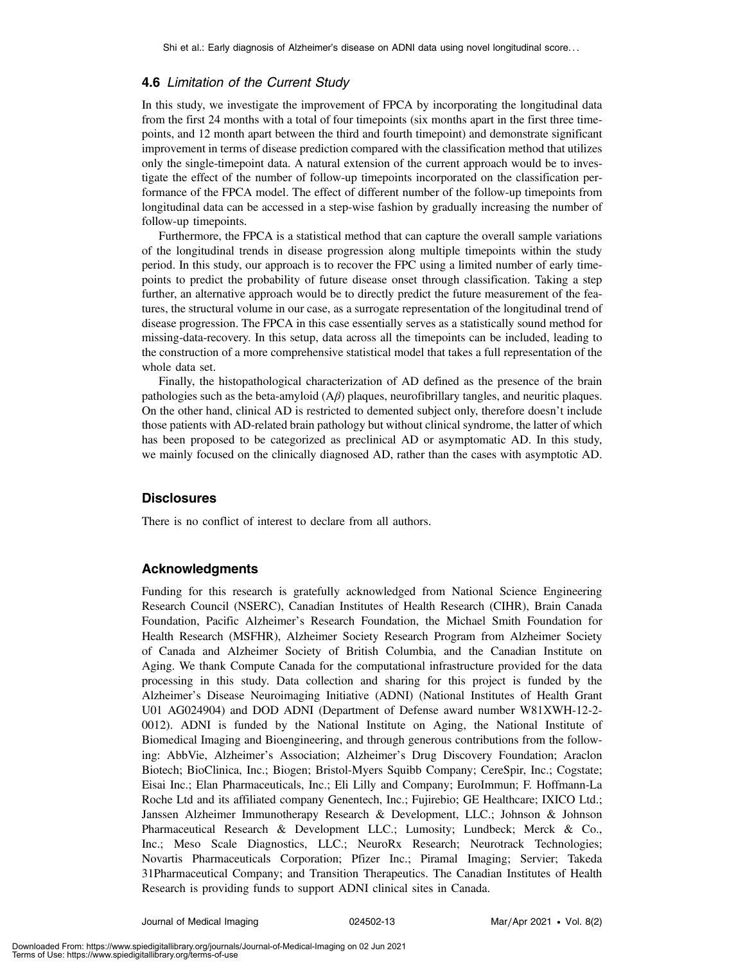## 4.6 Limitation of the Current Study

In this study, we investigate the improvement of FPCA by incorporating the longitudinal data from the first 24 months with a total of four timepoints (six months apart in the first three timepoints, and 12 month apart between the third and fourth timepoint) and demonstrate significant improvement in terms of disease prediction compared with the classification method that utilizes only the single-timepoint data. A natural extension of the current approach would be to investigate the effect of the number of follow-up timepoints incorporated on the classification performance of the FPCA model. The effect of different number of the follow-up timepoints from longitudinal data can be accessed in a step-wise fashion by gradually increasing the number of follow-up timepoints.

Furthermore, the FPCA is a statistical method that can capture the overall sample variations of the longitudinal trends in disease progression along multiple timepoints within the study period. In this study, our approach is to recover the FPC using a limited number of early timepoints to predict the probability of future disease onset through classification. Taking a step further, an alternative approach would be to directly predict the future measurement of the features, the structural volume in our case, as a surrogate representation of the longitudinal trend of disease progression. The FPCA in this case essentially serves as a statistically sound method for missing-data-recovery. In this setup, data across all the timepoints can be included, leading to the construction of a more comprehensive statistical model that takes a full representation of the whole data set.

Finally, the histopathological characterization of AD defined as the presence of the brain pathologies such as the beta-amyloid  $(A\beta)$  plaques, neurofibrillary tangles, and neuritic plaques. On the other hand, clinical AD is restricted to demented subject only, therefore doesn't include those patients with AD-related brain pathology but without clinical syndrome, the latter of which has been proposed to be categorized as preclinical AD or asymptomatic AD. In this study, we mainly focused on the clinically diagnosed AD, rather than the cases with asymptotic AD.

# **Disclosures**

There is no conflict of interest to declare from all authors.

# Acknowledgments

Funding for this research is gratefully acknowledged from National Science Engineering Research Council (NSERC), Canadian Institutes of Health Research (CIHR), Brain Canada Foundation, Pacific Alzheimer's Research Foundation, the Michael Smith Foundation for Health Research (MSFHR), Alzheimer Society Research Program from Alzheimer Society of Canada and Alzheimer Society of British Columbia, and the Canadian Institute on Aging. We thank Compute Canada for the computational infrastructure provided for the data processing in this study. Data collection and sharing for this project is funded by the Alzheimer's Disease Neuroimaging Initiative (ADNI) (National Institutes of Health Grant U01 AG024904) and DOD ADNI (Department of Defense award number W81XWH-12-2- 0012). ADNI is funded by the National Institute on Aging, the National Institute of Biomedical Imaging and Bioengineering, and through generous contributions from the following: AbbVie, Alzheimer's Association; Alzheimer's Drug Discovery Foundation; Araclon Biotech; BioClinica, Inc.; Biogen; Bristol-Myers Squibb Company; CereSpir, Inc.; Cogstate; Eisai Inc.; Elan Pharmaceuticals, Inc.; Eli Lilly and Company; EuroImmun; F. Hoffmann-La Roche Ltd and its affiliated company Genentech, Inc.; Fujirebio; GE Healthcare; IXICO Ltd.; Janssen Alzheimer Immunotherapy Research & Development, LLC.; Johnson & Johnson Pharmaceutical Research & Development LLC.; Lumosity; Lundbeck; Merck & Co., Inc.; Meso Scale Diagnostics, LLC.; NeuroRx Research; Neurotrack Technologies; Novartis Pharmaceuticals Corporation; Pfizer Inc.; Piramal Imaging; Servier; Takeda 31Pharmaceutical Company; and Transition Therapeutics. The Canadian Institutes of Health Research is providing funds to support ADNI clinical sites in Canada.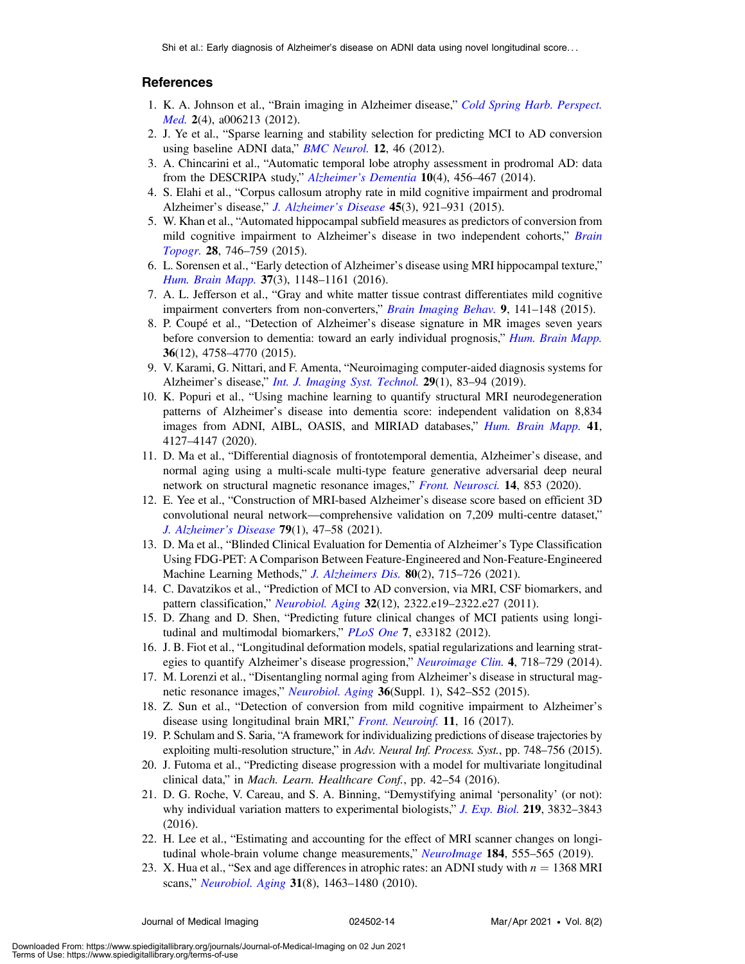Shi et al.: Early diagnosis of Alzheimer's disease on ADNI data using novel longitudinal score. . .

### References

- <span id="page-13-0"></span>1. K. A. Johnson et al., "Brain imaging in Alzheimer disease," [Cold Spring Harb. Perspect.](https://doi.org/10.1101/cshperspect.a006213) [Med.](https://doi.org/10.1101/cshperspect.a006213) 2(4), a006213 (2012).
- <span id="page-13-1"></span>2. J. Ye et al., "Sparse learning and stability selection for predicting MCI to AD conversion using baseline ADNI data," **BMC** Neurol. 12, 46 (2012).
- <span id="page-13-2"></span>3. A. Chincarini et al., "Automatic temporal lobe atrophy assessment in prodromal AD: data from the DESCRIPA study," Alzheimer'[s Dementia](https://doi.org/10.1016/j.jalz.2013.05.1774) 10(4), 456-467 (2014).
- <span id="page-13-3"></span>4. S. Elahi et al., "Corpus callosum atrophy rate in mild cognitive impairment and prodromal Alzheimer's disease," [J. Alzheimer](https://doi.org/10.3233/JAD-142631)'s Disease 45(3), 921-931 (2015).
- <span id="page-13-4"></span>5. W. Khan et al., "Automated hippocampal subfield measures as predictors of conversion from mild cognitive impairment to Alzheimer's disease in two independent cohorts," [Brain](https://doi.org/10.1007/s10548-014-0415-1) [Topogr.](https://doi.org/10.1007/s10548-014-0415-1) 28, 746–759 (2015).
- <span id="page-13-5"></span>6. L. Sorensen et al., "Early detection of Alzheimer's disease using MRI hippocampal texture," [Hum. Brain Mapp.](https://doi.org/10.1002/hbm.23091) 37(3), 1148–1161 (2016).
- <span id="page-13-6"></span>7. A. L. Jefferson et al., "Gray and white matter tissue contrast differentiates mild cognitive impairment converters from non-converters," [Brain Imaging Behav.](https://doi.org/10.1007/s11682-014-9291-2) 9, 141–148 (2015).
- <span id="page-13-7"></span>8. P. Coupé et al., "Detection of Alzheimer's disease signature in MR images seven years before conversion to dementia: toward an early individual prognosis," [Hum. Brain Mapp.](https://doi.org/10.1002/hbm.22926) 36(12), 4758–4770 (2015).
- <span id="page-13-8"></span>9. V. Karami, G. Nittari, and F. Amenta, "Neuroimaging computer-aided diagnosis systems for Alzheimer's disease," *[Int. J. Imaging Syst. Technol.](https://doi.org/10.1002/ima.22300)* **29**(1), 83–94 (2019).
- 10. K. Popuri et al., "Using machine learning to quantify structural MRI neurodegeneration patterns of Alzheimer's disease into dementia score: independent validation on 8,834 images from ADNI, AIBL, OASIS, and MIRIAD databases," [Hum. Brain Mapp.](https://doi.org/10.1002/hbm.25115) 41, 4127–4147 (2020).
- 11. D. Ma et al., "Differential diagnosis of frontotemporal dementia, Alzheimer's disease, and normal aging using a multi-scale multi-type feature generative adversarial deep neural network on structural magnetic resonance images," [Front. Neurosci.](https://doi.org/10.3389/fnins.2020.00853) 14, 853 (2020).
- 12. E. Yee et al., "Construction of MRI-based Alzheimer's disease score based on efficient 3D convolutional neural network—comprehensive validation on 7,209 multi-centre dataset," [J. Alzheimer](https://doi.org/10.3233/JAD-200830)'s Disease 79(1), 47–58 (2021).
- <span id="page-13-9"></span>13. D. Ma et al., "Blinded Clinical Evaluation for Dementia of Alzheimer's Type Classification Using FDG-PET: A Comparison Between Feature-Engineered and Non-Feature-Engineered Machine Learning Methods," *[J. Alzheimers Dis.](https://doi.org/10.3233/JAD-201591)* 80(2), 715–726 (2021).
- <span id="page-13-10"></span>14. C. Davatzikos et al., "Prediction of MCI to AD conversion, via MRI, CSF biomarkers, and pattern classification," *[Neurobiol. Aging](https://doi.org/10.1016/j.neurobiolaging.2010.05.023)* 32(12), 2322.e19–2322.e27 (2011).
- <span id="page-13-11"></span>15. D. Zhang and D. Shen, "Predicting future clinical changes of MCI patients using longi-tudinal and multimodal biomarkers," [PLoS One](https://doi.org/10.1371/journal.pone.0033182) 7, e33182 (2012).
- <span id="page-13-12"></span>16. J. B. Fiot et al., "Longitudinal deformation models, spatial regularizations and learning strat-egies to quantify Alzheimer's disease progression," [Neuroimage Clin.](https://doi.org/10.1016/j.nicl.2014.02.002) 4, 718-729 (2014).
- <span id="page-13-13"></span>17. M. Lorenzi et al., "Disentangling normal aging from Alzheimer's disease in structural mag-netic resonance images," [Neurobiol. Aging](https://doi.org/10.1016/j.neurobiolaging.2014.07.046) 36(Suppl. 1), S42–S52 (2015).
- <span id="page-13-14"></span>18. Z. Sun et al., "Detection of conversion from mild cognitive impairment to Alzheimer's disease using longitudinal brain MRI," [Front. Neuroinf.](https://doi.org/10.3389/fninf.2017.00016) 11, 16 (2017).
- <span id="page-13-15"></span>19. P. Schulam and S. Saria, "A framework for individualizing predictions of disease trajectories by exploiting multi-resolution structure," in Adv. Neural Inf. Process. Syst., pp. 748-756 (2015).
- 20. J. Futoma et al., "Predicting disease progression with a model for multivariate longitudinal clinical data," in Mach. Learn. Healthcare Conf., pp. 42–54 (2016).
- 21. D. G. Roche, V. Careau, and S. A. Binning, "Demystifying animal 'personality' (or not): why individual variation matters to experimental biologists," [J. Exp. Biol.](https://doi.org/10.1242/jeb.146712) 219, 3832–3843 (2016).
- <span id="page-13-16"></span>22. H. Lee et al., "Estimating and accounting for the effect of MRI scanner changes on longi-tudinal whole-brain volume change measurements," [NeuroImage](https://doi.org/10.1016/j.neuroimage.2018.09.062) 184, 555–565 (2019).
- <span id="page-13-17"></span>23. X. Hua et al., "Sex and age differences in atrophic rates: an ADNI study with  $n = 1368$  MRI scans," [Neurobiol. Aging](https://doi.org/10.1016/j.neurobiolaging.2010.04.033) 31(8), 1463-1480 (2010).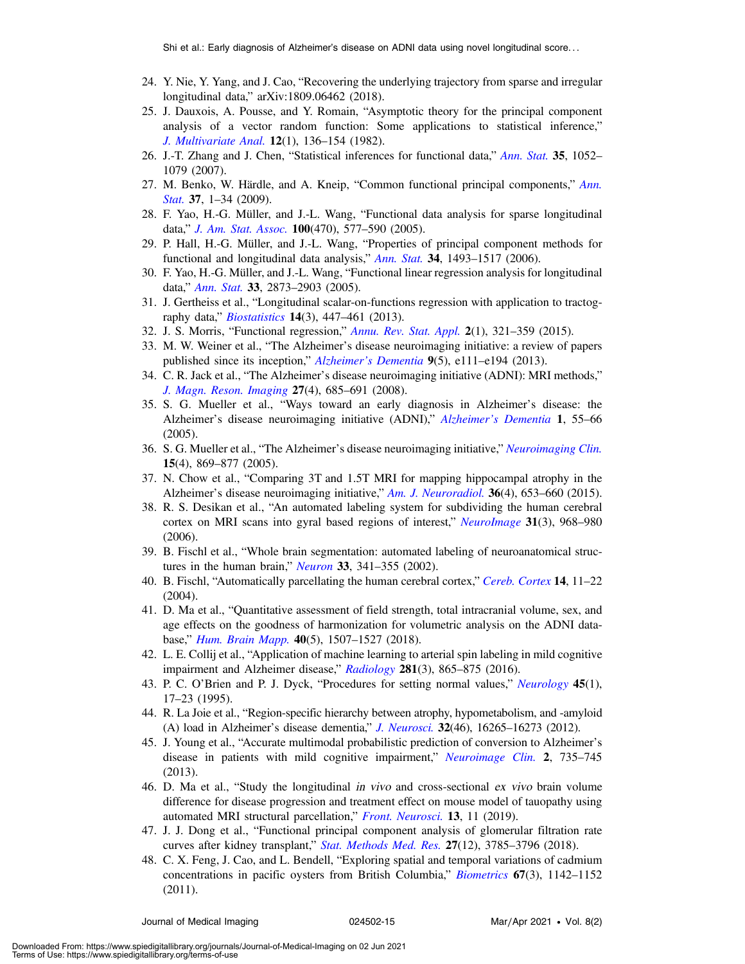- <span id="page-14-0"></span>24. Y. Nie, Y. Yang, and J. Cao, "Recovering the underlying trajectory from sparse and irregular longitudinal data," arXiv:1809.06462 (2018).
- <span id="page-14-1"></span>25. J. Dauxois, A. Pousse, and Y. Romain, "Asymptotic theory for the principal component analysis of a vector random function: Some applications to statistical inference," [J. Multivariate Anal.](https://doi.org/10.1016/0047-259X(82)90088-4) 12(1), 136–154 (1982).
- 26. J.-T. Zhang and J. Chen, "Statistical inferences for functional data," [Ann. Stat.](https://doi.org/10.1214/009053606000001505) 35, 1052– 1079 (2007).
- <span id="page-14-2"></span>27. M. Benko, W. Härdle, and A. Kneip, "Common functional principal components," [Ann.](https://doi.org/10.1214/07-AOS516) [Stat.](https://doi.org/10.1214/07-AOS516) 37, 1-34 (2009).
- <span id="page-14-3"></span>28. F. Yao, H.-G. Müller, and J.-L. Wang, "Functional data analysis for sparse longitudinal data," [J. Am. Stat. Assoc.](https://doi.org/10.1198/016214504000001745) 100(470), 577–590 (2005).
- <span id="page-14-4"></span>29. P. Hall, H.-G. Müller, and J.-L. Wang, "Properties of principal component methods for functional and longitudinal data analysis," [Ann. Stat.](https://doi.org/10.1214/009053606000000272) 34, 1493-1517 (2006).
- <span id="page-14-5"></span>30. F. Yao, H.-G. Müller, and J.-L. Wang, "Functional linear regression analysis for longitudinal data," [Ann. Stat.](https://doi.org/10.1214/009053605000000660) 33, 2873-2903 (2005).
- <span id="page-14-6"></span>31. J. Gertheiss et al., "Longitudinal scalar-on-functions regression with application to tractography data," *[Biostatistics](https://doi.org/10.1093/biostatistics/kxs051)* **14**(3), 447–461 (2013).
- <span id="page-14-8"></span><span id="page-14-7"></span>32. J. S. Morris, "Functional regression," [Annu. Rev. Stat. Appl.](https://doi.org/10.1146/annurev-statistics-010814-020413) 2(1), 321–359 (2015).
- 33. M. W. Weiner et al., "The Alzheimer's disease neuroimaging initiative: a review of papers published since its inception," Alzheimer'[s Dementia](https://doi.org/10.1016/j.jalz.2013.05.1769) 9(5), e111-e194 (2013).
- <span id="page-14-9"></span>34. C. R. Jack et al., "The Alzheimer's disease neuroimaging initiative (ADNI): MRI methods," [J. Magn. Reson. Imaging](https://doi.org/10.1002/jmri.21049) 27(4), 685–691 (2008).
- 35. S. G. Mueller et al., "Ways toward an early diagnosis in Alzheimer's disease: the Alzheimer's disease neuroimaging initiative (ADNI)," Alzheimer'[s Dementia](https://doi.org/10.1016/j.jalz.2005.06.003) 1, 55–66 (2005).
- 36. S. G. Mueller et al., "The Alzheimer's disease neuroimaging initiative," [Neuroimaging Clin.](https://doi.org/10.1016/j.nic.2005.09.008) 15(4), 869–877 (2005).
- <span id="page-14-10"></span>37. N. Chow et al., "Comparing 3T and 1.5T MRI for mapping hippocampal atrophy in the Alzheimer's disease neuroimaging initiative," [Am. J. Neuroradiol.](https://doi.org/10.3174/ajnr.A4228) 36(4), 653–660 (2015).
- <span id="page-14-11"></span>38. R. S. Desikan et al., "An automated labeling system for subdividing the human cerebral cortex on MRI scans into gyral based regions of interest," [NeuroImage](https://doi.org/10.1016/j.neuroimage.2006.01.021) 31(3), 968–980 (2006).
- <span id="page-14-12"></span>39. B. Fischl et al., "Whole brain segmentation: automated labeling of neuroanatomical structures in the human brain," *[Neuron](https://doi.org/10.1016/S0896-6273(02)00569-X)* 33, 341–355 (2002).
- <span id="page-14-13"></span>40. B. Fischl, "Automatically parcellating the human cerebral cortex," [Cereb. Cortex](https://doi.org/10.1093/cercor/bhg087) 14, 11–22 (2004).
- <span id="page-14-14"></span>41. D. Ma et al., "Quantitative assessment of field strength, total intracranial volume, sex, and age effects on the goodness of harmonization for volumetric analysis on the ADNI database," Hum. Brain Mapp. 40(5), 1507–1527 (2018).
- <span id="page-14-15"></span>42. L. E. Collij et al., "Application of machine learning to arterial spin labeling in mild cognitive impairment and Alzheimer disease," [Radiology](https://doi.org/10.1148/radiol.2016152703) 281(3), 865-875 (2016).
- 43. P. C. O'Brien and P. J. Dyck, "Procedures for setting normal values," [Neurology](https://doi.org/10.1212/WNL.45.1.17) 45(1), 17–23 (1995).
- <span id="page-14-16"></span>44. R. La Joie et al., "Region-specific hierarchy between atrophy, hypometabolism, and -amyloid (A) load in Alzheimer's disease dementia," [J. Neurosci.](https://doi.org/10.1523/JNEUROSCI.2170-12.2012) 32(46), 16265–16273 (2012).
- <span id="page-14-17"></span>45. J. Young et al., "Accurate multimodal probabilistic prediction of conversion to Alzheimer's disease in patients with mild cognitive impairment," [Neuroimage Clin.](https://doi.org/10.1016/j.nicl.2013.05.004) 2, 735–745 (2013).
- <span id="page-14-18"></span>46. D. Ma et al., "Study the longitudinal in vivo and cross-sectional ex vivo brain volume difference for disease progression and treatment effect on mouse model of tauopathy using automated MRI structural parcellation," [Front. Neurosci.](https://doi.org/10.3389/fnins.2019.00011) 13, 11 (2019).
- <span id="page-14-19"></span>47. J. J. Dong et al., "Functional principal component analysis of glomerular filtration rate curves after kidney transplant," [Stat. Methods Med. Res.](https://doi.org/10.1177/0962280217712088) 27(12), 3785–3796 (2018).
- <span id="page-14-20"></span>48. C. X. Feng, J. Cao, and L. Bendell, "Exploring spatial and temporal variations of cadmium concentrations in pacific oysters from British Columbia," [Biometrics](https://doi.org/10.1111/j.1541-0420.2010.01534.x) 67(3), 1142–1152 (2011).